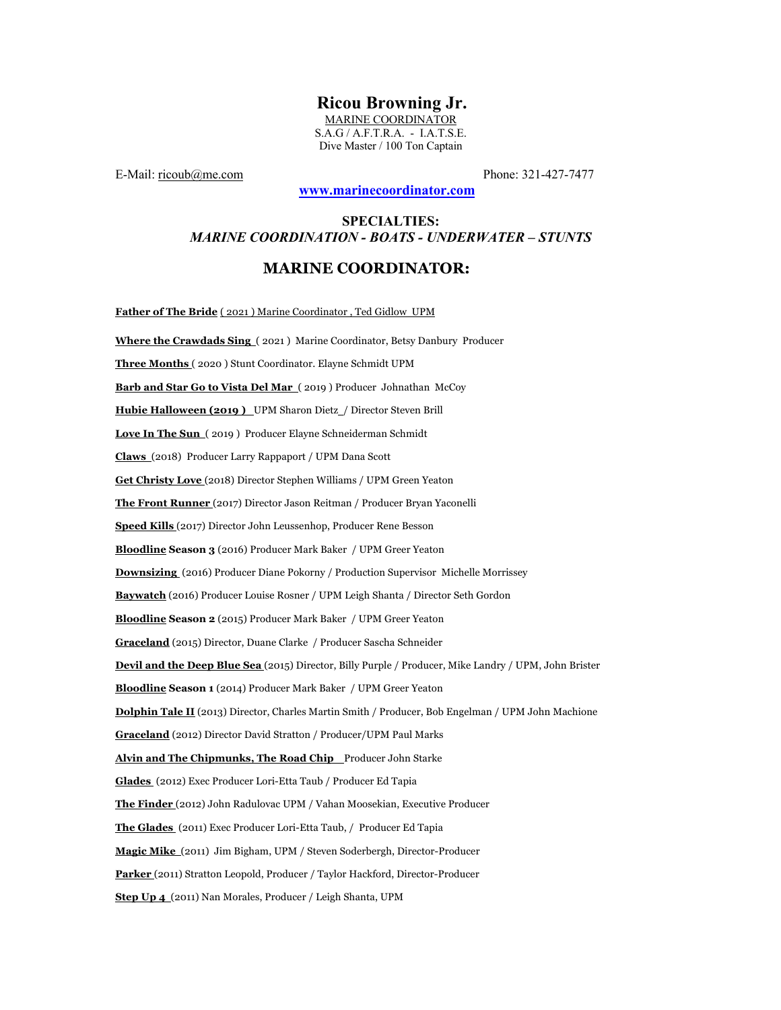# **Ricou Browning Jr.**

MARINE COORDINATOR S.A.G / A.F.T.R.A. - I.A.T.S.E. Dive Master / 100 Ton Captain

E-Mail: <u>ricoub@me.com</u> Phone: 321-427-7477

## **www.marinecoordinator.com**

## **SPECIALTIES:** *MARINE COORDINATION - BOATS - UNDERWATER – STUNTS*

## **MARINE COORDINATOR:**

**Father of The Bride** ( 2021 ) Marine Coordinator , Ted Gidlow UPM

**Where the Crawdads Sing** ( 2021 ) Marine Coordinator, Betsy Danbury Producer **Three Months** ( 2020 ) Stunt Coordinator. Elayne Schmidt UPM **Barb and Star Go to Vista Del Mar** ( 2019 ) Producer Johnathan McCoy Hubie Halloween (2019) UPM Sharon Dietz<sub>/</sub> Director Steven Brill **Love In The Sun** ( 2019 ) Producer Elayne Schneiderman Schmidt **Claws** (2018) Producer Larry Rappaport / UPM Dana Scott **Get Christy Love** (2018) Director Stephen Williams / UPM Green Yeaton **The Front Runner** (2017) Director Jason Reitman / Producer Bryan Yaconelli **Speed Kills** (2017) Director John Leussenhop, Producer Rene Besson **Bloodline Season 3** (2016) Producer Mark Baker / UPM Greer Yeaton **Downsizing** (2016) Producer Diane Pokorny / Production Supervisor Michelle Morrissey **Baywatch** (2016) Producer Louise Rosner / UPM Leigh Shanta / Director Seth Gordon **Bloodline Season 2** (2015) Producer Mark Baker / UPM Greer Yeaton **Graceland** (2015) Director, Duane Clarke / Producer Sascha Schneider **Devil and the Deep Blue Sea** (2015) Director, Billy Purple / Producer, Mike Landry / UPM, John Brister **Bloodline Season 1** (2014) Producer Mark Baker / UPM Greer Yeaton **Dolphin Tale II** (2013) Director, Charles Martin Smith / Producer, Bob Engelman / UPM John Machione **Graceland** (2012) Director David Stratton / Producer/UPM Paul Marks Alvin and The Chipmunks, The Road Chip Producer John Starke **Glades** (2012) Exec Producer Lori-Etta Taub / Producer Ed Tapia **The Finder** (2012) John Radulovac UPM / Vahan Moosekian, Executive Producer **The Glades** (2011) Exec Producer Lori-Etta Taub, / Producer Ed Tapia **Magic Mike** (2011) Jim Bigham, UPM / Steven Soderbergh, Director-Producer **Parker** (2011) Stratton Leopold, Producer / Taylor Hackford, Director-Producer **Step Up 4** (2011) Nan Morales, Producer / Leigh Shanta, UPM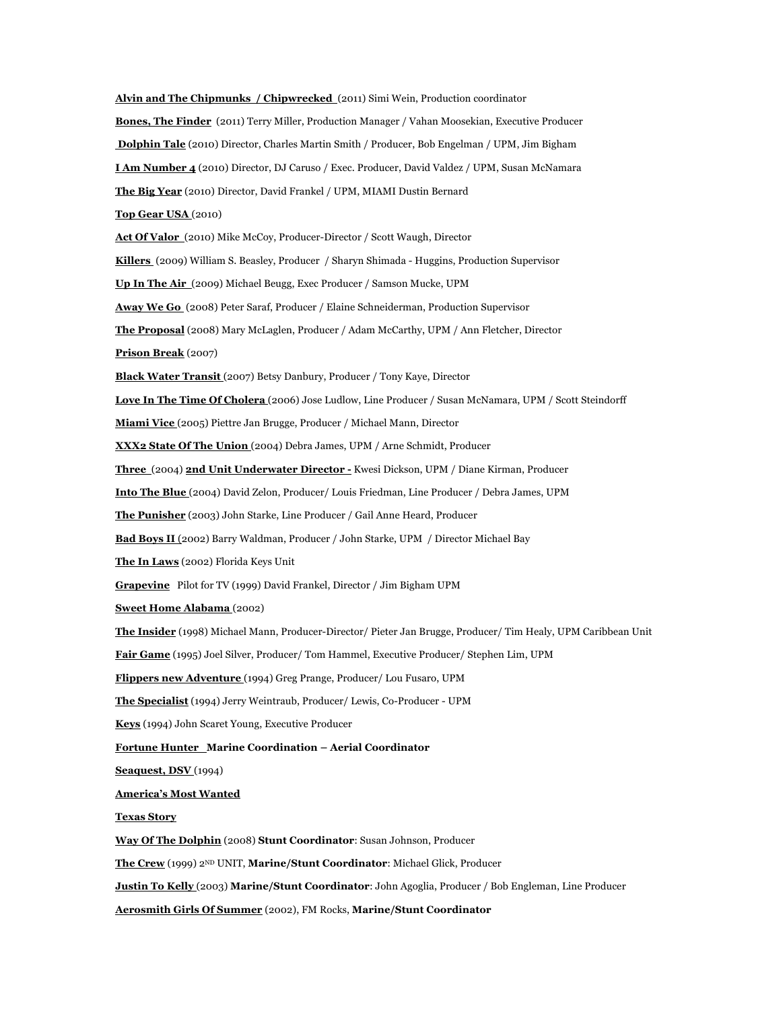**Alvin and The Chipmunks / Chipwrecked** (2011) Simi Wein, Production coordinator **Bones, The Finder** (2011) Terry Miller, Production Manager / Vahan Moosekian, Executive Producer **Dolphin Tale** (2010) Director, Charles Martin Smith / Producer, Bob Engelman / UPM, Jim Bigham **I Am Number 4** (2010) Director, DJ Caruso / Exec. Producer, David Valdez / UPM, Susan McNamara **The Big Year** (2010) Director, David Frankel / UPM, MIAMI Dustin Bernard **Top Gear USA** (2010) **Act Of Valor** (2010) Mike McCoy, Producer-Director / Scott Waugh, Director **Killers** (2009) William S. Beasley, Producer / Sharyn Shimada - Huggins, Production Supervisor **Up In The Air** (2009) Michael Beugg, Exec Producer / Samson Mucke, UPM **Away We Go** (2008) Peter Saraf, Producer / Elaine Schneiderman, Production Supervisor **The Proposal** (2008) Mary McLaglen, Producer / Adam McCarthy, UPM / Ann Fletcher, Director **Prison Break** (2007) **Black Water Transit** (2007) Betsy Danbury, Producer / Tony Kaye, Director **Love In The Time Of Cholera** (2006) Jose Ludlow, Line Producer / Susan McNamara, UPM / Scott Steindorff **Miami Vice** (2005) Piettre Jan Brugge, Producer / Michael Mann, Director **XXX2 State Of The Union** (2004) Debra James, UPM / Arne Schmidt, Producer **Three** (2004) **2nd Unit Underwater Director -** Kwesi Dickson, UPM / Diane Kirman, Producer **Into The Blue** (2004) David Zelon, Producer/ Louis Friedman, Line Producer / Debra James, UPM **The Punisher** (2003) John Starke, Line Producer / Gail Anne Heard, Producer **Bad Boys II** (2002) Barry Waldman, Producer / John Starke, UPM / Director Michael Bay **The In Laws** (2002) Florida Keys Unit **Grapevine** Pilot for TV (1999) David Frankel, Director / Jim Bigham UPM **Sweet Home Alabama** (2002) **The Insider** (1998) Michael Mann, Producer-Director/ Pieter Jan Brugge, Producer/ Tim Healy, UPM Caribbean Unit **Fair Game** (1995) Joel Silver, Producer/ Tom Hammel, Executive Producer/ Stephen Lim, UPM **Flippers new Adventure** (1994) Greg Prange, Producer/ Lou Fusaro, UPM **The Specialist** (1994) Jerry Weintraub, Producer/ Lewis, Co-Producer - UPM **Keys** (1994) John Scaret Young, Executive Producer **Fortune Hunter Marine Coordination – Aerial Coordinator Seaquest, DSV** (1994) **America's Most Wanted Texas Story Way Of The Dolphin** (2008) **Stunt Coordinator**: Susan Johnson, Producer **The Crew** (1999) 2ND UNIT, **Marine/Stunt Coordinator**: Michael Glick, Producer **Justin To Kelly** (2003) **Marine/Stunt Coordinator**: John Agoglia, Producer / Bob Engleman, Line Producer **Aerosmith Girls Of Summer** (2002), FM Rocks, **Marine/Stunt Coordinator**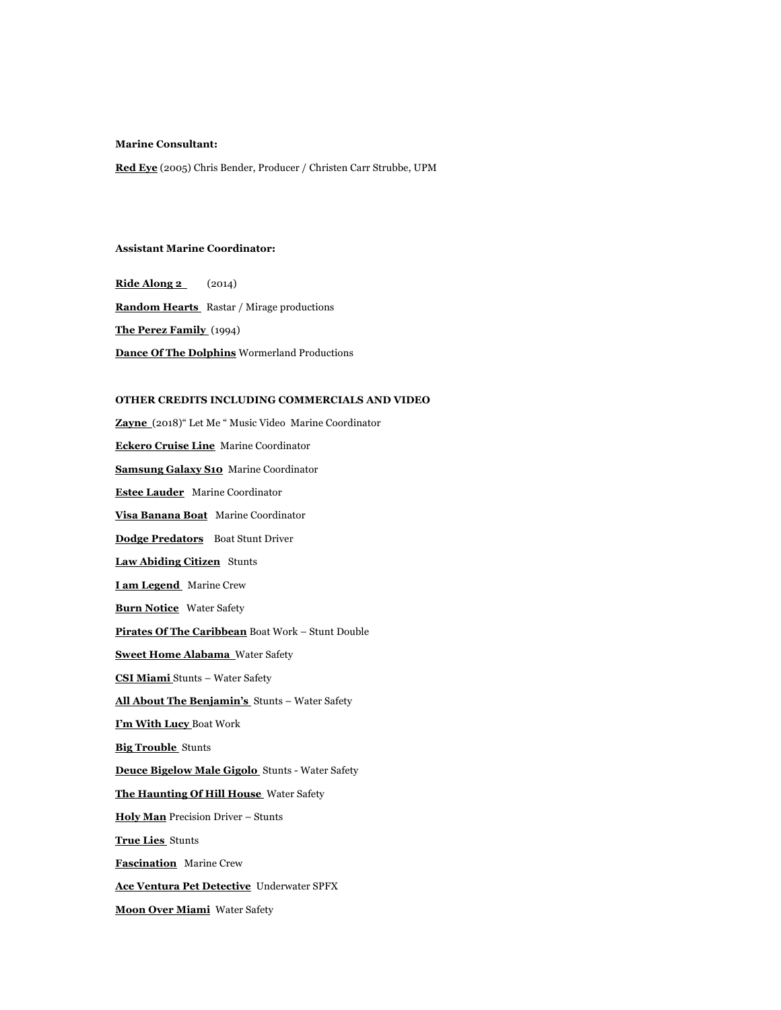#### **Marine Consultant:**

**Red Eye** (2005) Chris Bender, Producer / Christen Carr Strubbe, UPM

#### **Assistant Marine Coordinator:**

**Ride Along 2** (2014) **Random Hearts** Rastar / Mirage productions **The Perez Family** (1994) **Dance Of The Dolphins** Wormerland Productions

#### **OTHER CREDITS INCLUDING COMMERCIALS AND VIDEO**

**Zayne** (2018)" Let Me " Music VideoMarine Coordinator **Eckero Cruise Line** Marine Coordinator **Samsung Galaxy S10** Marine Coordinator **Estee Lauder** Marine Coordinator **Visa Banana Boat** Marine Coordinator **Dodge Predators** Boat Stunt Driver **Law Abiding Citizen** Stunts **I am Legend** Marine Crew **Burn Notice** Water Safety **Pirates Of The Caribbean** Boat Work – Stunt Double **Sweet Home Alabama** Water Safety **CSI Miami** Stunts – Water Safety **All About The Benjamin's** Stunts – Water Safety **I'm With Lucy** Boat Work **Big Trouble** Stunts **Deuce Bigelow Male Gigolo** Stunts - Water Safety **The Haunting Of Hill House** Water Safety **Holy Man** Precision Driver – Stunts **True Lies** Stunts **Fascination** Marine Crew **Ace Ventura Pet Detective** Underwater SPFX **Moon Over Miami** Water Safety